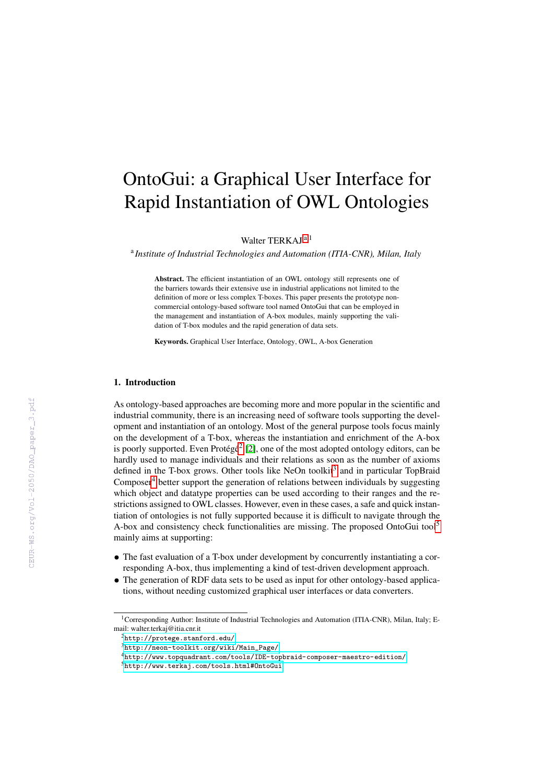# OntoGui: a Graphical User Interface for Rapid Instantiation of OWL Ontologies

Walter TERKAJ [a](#page-0-0),<sup>1</sup>

<span id="page-0-0"></span>a *Institute of Industrial Technologies and Automation (ITIA-CNR), Milan, Italy*

Abstract. The efficient instantiation of an OWL ontology still represents one of the barriers towards their extensive use in industrial applications not limited to the definition of more or less complex T-boxes. This paper presents the prototype noncommercial ontology-based software tool named OntoGui that can be employed in the management and instantiation of A-box modules, mainly supporting the validation of T-box modules and the rapid generation of data sets.

Keywords. Graphical User Interface, Ontology, OWL, A-box Generation

## 1. Introduction

As ontology-based approaches are becoming more and more popular in the scientific and industrial community, there is an increasing need of software tools supporting the development and instantiation of an ontology. Most of the general purpose tools focus mainly on the development of a T-box, whereas the instantiation and enrichment of the A-box is poorly supported. Even Protégé<sup>[2](#page-0-1)</sup> [\[2\]](#page--1-0), one of the most adopted ontology editors, can be hardly used to manage individuals and their relations as soon as the number of axioms defined in the T-box grows. Other tools like NeOn toolkit<sup>[3](#page-0-2)</sup> and in particular TopBraid Composer $4$  better support the generation of relations between individuals by suggesting which object and datatype properties can be used according to their ranges and the restrictions assigned to OWL classes. However, even in these cases, a safe and quick instantiation of ontologies is not fully supported because it is difficult to navigate through the A-box and consistency check functionalities are missing. The proposed OntoGui tool<sup>[5](#page-0-4)</sup> mainly aims at supporting:

- The fast evaluation of a T-box under development by concurrently instantiating a corresponding A-box, thus implementing a kind of test-driven development approach.
- The generation of RDF data sets to be used as input for other ontology-based applications, without needing customized graphical user interfaces or data converters.

<sup>&</sup>lt;sup>1</sup>Corresponding Author: Institute of Industrial Technologies and Automation (ITIA-CNR), Milan, Italy; Email: walter.terkaj@itia.cnr.it

<span id="page-0-1"></span><sup>2</sup><http://protege.stanford.edu/>

<span id="page-0-2"></span><sup>3</sup>[http://neon-toolkit.org/wiki/Main\\_Page/](http://neon-toolkit.org/wiki/Main_Page/)

<span id="page-0-3"></span><sup>4</sup><http://www.topquadrant.com/tools/IDE-topbraid-composer-maestro-edition/>

<span id="page-0-4"></span><sup>5</sup><http://www.terkaj.com/tools.html#OntoGui>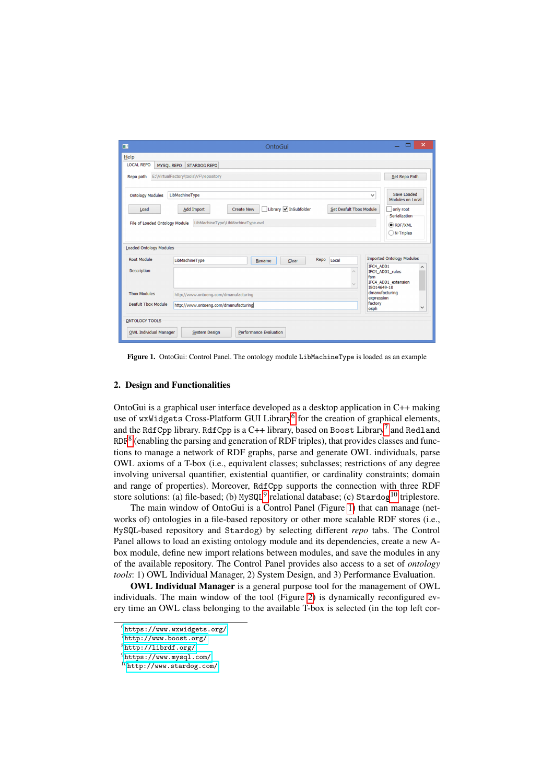| ш                                      | OntoGui                                                                                                                       | $\boldsymbol{\mathsf{x}}$                   |
|----------------------------------------|-------------------------------------------------------------------------------------------------------------------------------|---------------------------------------------|
| Help                                   |                                                                                                                               |                                             |
| <b>LOCAL REPO</b><br><b>MYSOL REPO</b> | <b>STARDOG REPO</b>                                                                                                           |                                             |
| Repo path                              | E:\VirtualFactory\tools\VF\repository                                                                                         | Set Repo Path                               |
| <b>Ontology Modules</b>                | LibMachineType<br>$\checkmark$                                                                                                | Save Loaded<br><b>Modules on Local</b>      |
| Load                                   | Library <i>I</i> InSubfolder<br><b>Set Deafult Tbox Module</b><br>Add Import<br><b>Create New</b><br>$\overline{\phantom{a}}$ | only root<br>Serialization                  |
| File of Loaded Ontology Module         | LibMachineType\LibMachineType.owl                                                                                             | RDF/XML                                     |
|                                        |                                                                                                                               | $\bigcap$ N-Triples                         |
| <b>Loaded Ontology Modules</b>         |                                                                                                                               |                                             |
| <b>Root Module</b>                     | Repo<br>LibMachineType<br>Local<br>Clear<br>Rename                                                                            | <b>Imported Ontology Modules</b>            |
| <b>Description</b>                     | IFC4 ADD1<br>fsm<br>$\sim$<br>ISO14649-10                                                                                     | ^<br>IFC4_ADD1_rules<br>IFC4_ADD1_extension |
| <b>Thox Modules</b>                    | http://www.ontoeng.com/dmanufacturing<br>expression                                                                           | dmanufacturing                              |
| <b>Deafult Tbox Module</b>             | factory<br>http://www.ontoeng.com/dmanufacturing<br>osph                                                                      | $\checkmark$                                |
| <b>ONTOLOGY TOOLS</b>                  |                                                                                                                               |                                             |
| OWL Individual Manager                 | <b>Performance Evaluation</b><br><b>System Design</b>                                                                         |                                             |

<span id="page-1-5"></span>Figure 1. OntoGui: Control Panel. The ontology module LibMachineType is loaded as an example

#### 2. Design and Functionalities

OntoGui is a graphical user interface developed as a desktop application in C++ making use of wxWidgets Cross-Platform GUI Library<sup>[6](#page-1-0)</sup> for the creation of graphical elements, and the RdfCpp library. RdfCpp is a C++ library, based on Boost  $\rm Library^7$  $\rm Library^7$  and Redland RDF<sup>[8](#page-1-2)</sup> (enabling the parsing and generation of RDF triples), that provides classes and functions to manage a network of RDF graphs, parse and generate OWL individuals, parse OWL axioms of a T-box (i.e., equivalent classes; subclasses; restrictions of any degree involving universal quantifier, existential quantifier, or cardinality constraints; domain and range of properties). Moreover, RdfCpp supports the connection with three RDF store solutions: (a) file-based; (b)  $MySQL^9$  $MySQL^9$  relational database; (c)  $Startdog^{10}$  $Startdog^{10}$  $Startdog^{10}$  triplestore.

The main window of OntoGui is a Control Panel (Figure [1\)](#page-1-5) that can manage (networks of) ontologies in a file-based repository or other more scalable RDF stores (i.e., MySQL-based repository and Stardog) by selecting different *repo* tabs. The Control Panel allows to load an existing ontology module and its dependencies, create a new Abox module, define new import relations between modules, and save the modules in any of the available repository. The Control Panel provides also access to a set of *ontology tools*: 1) OWL Individual Manager, 2) System Design, and 3) Performance Evaluation.

OWL Individual Manager is a general purpose tool for the management of OWL individuals. The main window of the tool (Figure [2\)](#page-2-0) is dynamically reconfigured every time an OWL class belonging to the available T-box is selected (in the top left cor-

<span id="page-1-0"></span><sup>6</sup><https://www.wxwidgets.org/>

<span id="page-1-1"></span><sup>7</sup><http://www.boost.org/>

<span id="page-1-2"></span> $8$ <http://librdf.org/>

<span id="page-1-3"></span><sup>9</sup><https://www.mysql.com/>

<span id="page-1-4"></span><sup>10</sup><http://www.stardog.com/>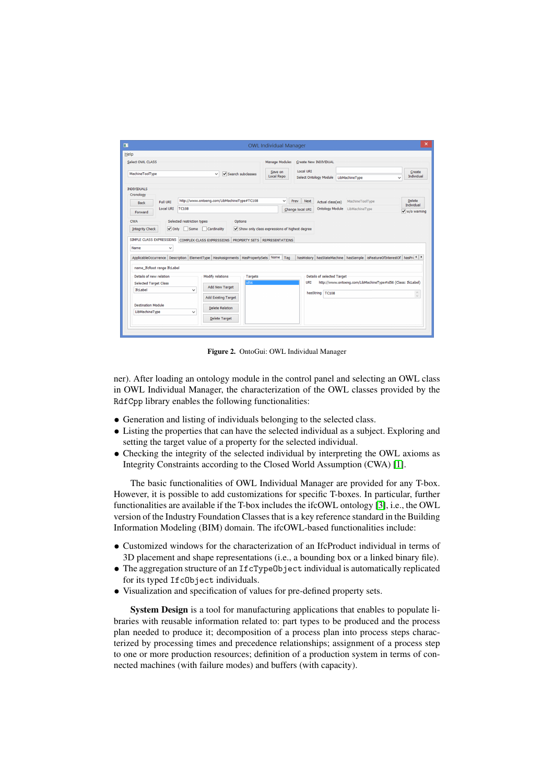| Help                                                                                                                                       |                                             |                            |                   | <b>OWL Individual Manager</b>                  |                  |                                                        |                  |                                  |  |                                                                      |
|--------------------------------------------------------------------------------------------------------------------------------------------|---------------------------------------------|----------------------------|-------------------|------------------------------------------------|------------------|--------------------------------------------------------|------------------|----------------------------------|--|----------------------------------------------------------------------|
| <b>Select OWL CLASS</b><br>MachineToolTvpe                                                                                                 |                                             | $\checkmark$               | Search subclasses | <b>Manage Modules</b><br>Save on<br>Local Repo | <b>Local URI</b> | Create New INDIVIDUAL<br><b>Select Ontology Module</b> |                  | LibMachineType                   |  | Create<br>Individual<br>$\checkmark$                                 |
| <b>INDIVIDUALS</b><br>Cronology<br>Full URI<br><b>Back</b>                                                                                 | http://www.ontoeng.com/LibMachineType#TC108 |                            |                   | $\checkmark$                                   | Prev             | Next                                                   | Actual class(es) | MachineToolType                  |  | <b>Delete</b><br>Individual                                          |
| <b>Local URI</b><br>Forward                                                                                                                | <b>TC108</b>                                |                            |                   |                                                | Change local URI | <b>Ontology Module</b>                                 | LibMachineType   | $\sqrt{\frac{1}{1}}$ w/o warning |  |                                                                      |
| <b>CWA</b><br>$\sqrt{}$ Only<br><b>Integrity Check</b><br>SIMPLE CLASS EXPRESSIONS COMPLEX CLASS EXPRESSIONS PROPERTY SETS REPRESENTATIONS | Selected restriction types<br>Some          | Cardinality                | Options           | Show only class expressions of highest degree  |                  |                                                        |                  |                                  |  |                                                                      |
| Name<br>v<br>ApplicableOccurrence   Description   ElementType   HasAssignments   HasPropertySets   Name   Tag                              |                                             |                            |                   |                                                |                  |                                                        |                  |                                  |  | hasHistory hasStateMachine hasSample isFeatureOfInterestOf hasPn < > |
| name_IfcRoot range IfcLabel                                                                                                                |                                             |                            |                   |                                                |                  |                                                        |                  |                                  |  |                                                                      |
| Details of new relation                                                                                                                    |                                             | Modify relations           | <b>Targets</b>    |                                                |                  | <b>Details of selected Target</b>                      |                  |                                  |  |                                                                      |
| <b>Selected Target Class</b>                                                                                                               |                                             | Add New Target             | id56              |                                                |                  | <b>URI</b>                                             |                  |                                  |  | http://www.ontoeng.com/LibMachineType#id56 (Class: IfcLabel)         |
| IfcLabel                                                                                                                                   | $\checkmark$                                | <b>Add Existing Target</b> |                   |                                                |                  | hasString TC108                                        |                  |                                  |  | $\curvearrowright$<br>$\backsim$                                     |
| <b>Destination Module</b><br>LibMachineType                                                                                                | $\checkmark$                                | <b>Delete Relation</b>     |                   |                                                |                  |                                                        |                  |                                  |  |                                                                      |

<span id="page-2-0"></span>Figure 2. OntoGui: OWL Individual Manager

ner). After loading an ontology module in the control panel and selecting an OWL class in OWL Individual Manager, the characterization of the OWL classes provided by the RdfCpp library enables the following functionalities:

- Generation and listing of individuals belonging to the selected class.
- Listing the properties that can have the selected individual as a subject. Exploring and setting the target value of a property for the selected individual.
- Checking the integrity of the selected individual by interpreting the OWL axioms as Integrity Constraints according to the Closed World Assumption (CWA) [\[1\]](#page-3-0).

The basic functionalities of OWL Individual Manager are provided for any T-box. However, it is possible to add customizations for specific T-boxes. In particular, further functionalities are available if the T-box includes the ifcOWL ontology [\[3\]](#page-3-1), i.e., the OWL version of the Industry Foundation Classes that is a key reference standard in the Building Information Modeling (BIM) domain. The ifcOWL-based functionalities include:

- Customized windows for the characterization of an IfcProduct individual in terms of 3D placement and shape representations (i.e., a bounding box or a linked binary file).
- The aggregation structure of an IfcTypeObject individual is automatically replicated for its typed IfcObject individuals.
- Visualization and specification of values for pre-defined property sets.

System Design is a tool for manufacturing applications that enables to populate libraries with reusable information related to: part types to be produced and the process plan needed to produce it; decomposition of a process plan into process steps characterized by processing times and precedence relationships; assignment of a process step to one or more production resources; definition of a production system in terms of connected machines (with failure modes) and buffers (with capacity).